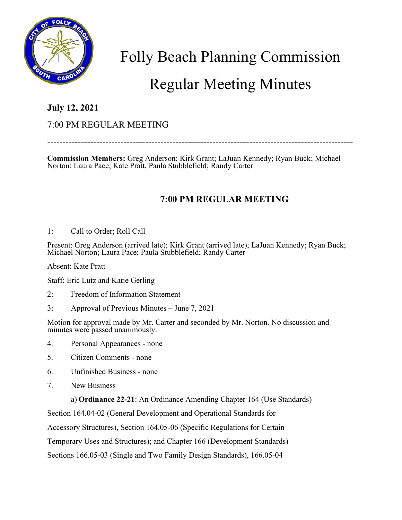

# Folly Beach Planning Commission

## Regular Meeting Minutes

### **July 12, 2021**

#### 7:00 PM REGULAR MEETING

----------------------------------------------------------------------------------------------------

**Commission Members:** Greg Anderson; Kirk Grant; LaJuan Kennedy; Ryan Buck; Michael Norton; Laura Pace; Kate Pratt, Paula Stubblefield; Randy Carter

## **7:00 PM REGULAR MEETING**

1: Call to Order; Roll Call

Present: Greg Anderson (arrived late); Kirk Grant (arrived late); LaJuan Kennedy; Ryan Buck; Michael Norton; Laura Pace; Paula Stubblefield; Randy Carter

Absent: Kate Pratt

Staff: Eric Lutz and Katie Gerling

- 2: Freedom of Information Statement
- 3: Approval of Previous Minutes June 7, 2021

Motion for approval made by Mr. Carter and seconded by Mr. Norton. No discussion and minutes were passed unanimously.

- 4. Personal Appearances none
- 5. Citizen Comments none
- 6. Unfinished Business none
- 7. New Business

a) **Ordinance 22-21**: An Ordinance Amending Chapter 164 (Use Standards)

Section 164.04-02 (General Development and Operational Standards for

Accessory Structures), Section 164.05-06 (Specific Regulations for Certain

Temporary Uses and Structures); and Chapter 166 (Development Standards)

Sections 166.05-03 (Single and Two Family Design Standards), 166.05-04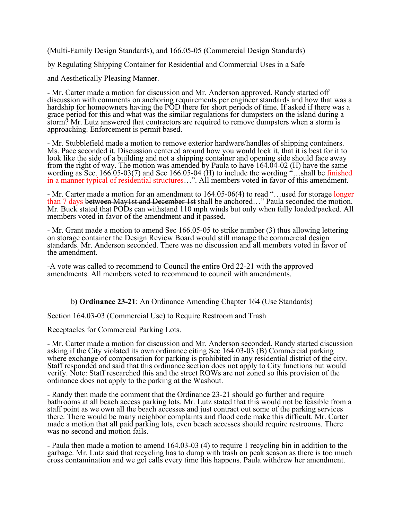(Multi-Family Design Standards), and 166.05-05 (Commercial Design Standards) by Regulating Shipping Container for Residential and Commercial Uses in a Safe and Aesthetically Pleasing Manner.

- Mr. Carter made a motion for discussion and Mr. Anderson approved. Randy started off discussion with comments on anchoring requirements per engineer standards and how that was a hardship for homeowners having the POD there for short periods of time. If asked if there was a grace period for this and what was the similar regulations for dumpsters on the island during a storm? Mr. Lutz answered that contractors are required to remove dumpsters when a storm is approaching. Enforcement is permit based.

- Mr. Stubblefield made a motion to remove exterior hardware/handles of shipping containers. Ms. Pace seconded it. Discussion centered around how you would lock it, that it is best for it to look like the side of a building and not a shipping container and opening side should face away from the right of way. The motion was amended by Paula to have 164.04-02 (H) have the same wording as Sec. 166.05-03(7) and Sec 166.05-04 ( $H$ ) to include the wording "...shall be finished in a manner typical of residential structures…". All members voted in favor of this amendment.

- Mr. Carter made a motion for an amendment to 164.05-06(4) to read "...used for storage longer than 7 days between May1st and December 1st shall be anchored..." Paula seconded the motion. Mr. Buck stated that PODs can withstand 110 mph winds but only when fully loaded/packed. All members voted in favor of the amendment and it passed.

- Mr. Grant made a motion to amend Sec 166.05-05 to strike number (3) thus allowing lettering on storage container the Design Review Board would still manage the commercial design standards. Mr. Anderson seconded. There was no discussion and all members voted in favor of the amendment.

-A vote was called to recommend to Council the entire Ord 22-21 with the approved amendments. All members voted to recommend to council with amendments.

b**) Ordinance 23-21**: An Ordinance Amending Chapter 164 (Use Standards)

Section 164.03-03 (Commercial Use) to Require Restroom and Trash

Receptacles for Commercial Parking Lots.

- Mr. Carter made a motion for discussion and Mr. Anderson seconded. Randy started discussion asking if the City violated its own ordinance citing Sec 164.03-03 (B) Commercial parking where exchange of compensation for parking is prohibited in any residential district of the city. Staff responded and said that this ordinance section does not apply to City functions but would verify. Note: Staff researched this and the street ROWs are not zoned so this provision of the ordinance does not apply to the parking at the Washout.

- Randy then made the comment that the Ordinance 23-21 should go further and require bathrooms at all beach access parking lots. Mr. Lutz stated that this would not be feasible from a staff point as we own all the beach accesses and just contract out some of the parking services there. There would be many neighbor complaints and flood code make this difficult. Mr. Carter made a motion that all paid parking lots, even beach accesses should require restrooms. There was no second and motion fails.

- Paula then made a motion to amend 164.03-03 (4) to require 1 recycling bin in addition to the garbage. Mr. Lutz said that recycling has to dump with trash on peak season as there is too much cross contamination and we get calls every time this happens. Paula withdrew her amendment.